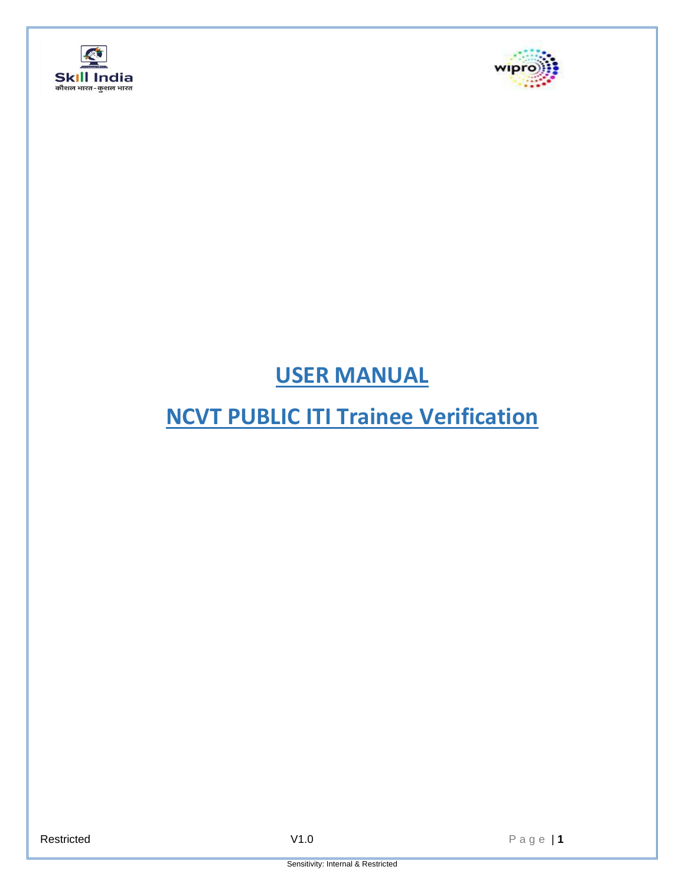



## **USER MANUAL**

## **NCVT PUBLIC ITI Trainee Verification**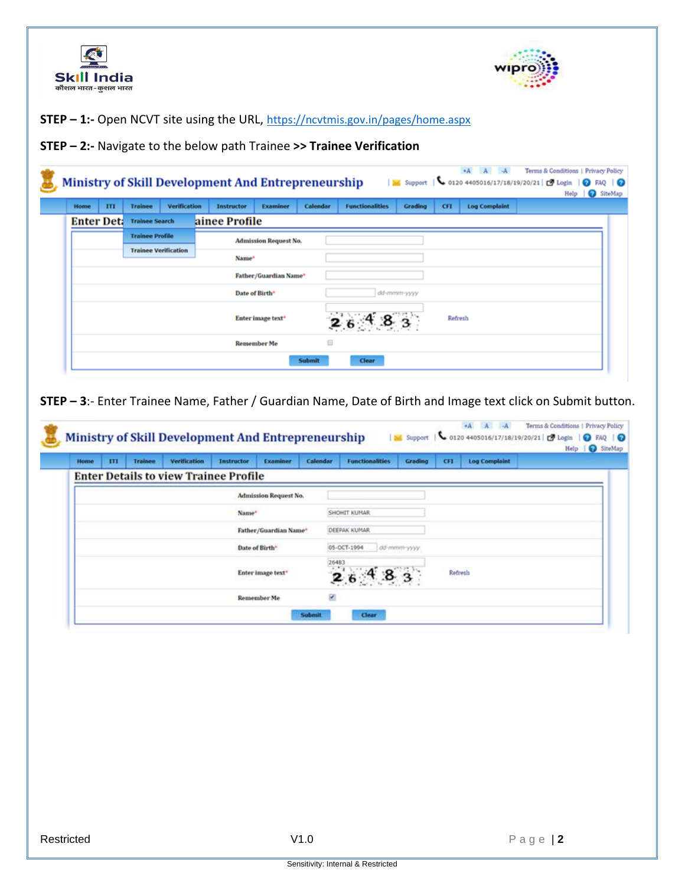



**STEP – 1:-** Open NCVT site using the URL, <https://ncvtmis.gov.in/pages/home.aspx>

**STEP – 2:-** Navigate to the below path Trainee **>> Trainee Verification**

|                   |   |                             |                     | <b>Ministry of Skill Development And Entrepreneurship</b> |                              |               |                        |             |         | +A A -A              | Terms & Conditions   Privacy Policy<br>No Support   \ 0120 4405016/17/18/19/20/21   D Login   O FAQ   O<br>Help | SiteMap |
|-------------------|---|-----------------------------|---------------------|-----------------------------------------------------------|------------------------------|---------------|------------------------|-------------|---------|----------------------|-----------------------------------------------------------------------------------------------------------------|---------|
| Home              | Ш | <b>Trainee</b>              | <b>Verification</b> | <b>Instructor</b>                                         | Examiner                     | Calendar      | <b>Functionalities</b> | Grading     | CFI     | <b>Log Complaint</b> |                                                                                                                 |         |
| <b>Enter Det:</b> |   | <b>Trainee Search</b>       |                     | ainee Profile                                             |                              |               |                        |             |         |                      |                                                                                                                 |         |
|                   |   | <b>Trainee Profile</b>      |                     |                                                           | <b>Admission Request No.</b> |               |                        |             |         |                      |                                                                                                                 |         |
|                   |   | <b>Trainee Verification</b> |                     | Name*                                                     |                              |               |                        |             |         |                      |                                                                                                                 |         |
|                   |   |                             |                     |                                                           | Father/Guardian Name*        |               |                        |             |         |                      |                                                                                                                 |         |
|                   |   |                             |                     | Date of Birth*                                            |                              |               |                        | dd-mmm-yyyy |         |                      |                                                                                                                 |         |
|                   |   |                             |                     |                                                           |                              |               |                        |             |         |                      |                                                                                                                 |         |
|                   |   |                             |                     |                                                           | Enter image text*            |               | $26^{48}3$             |             | Refresh |                      |                                                                                                                 |         |
|                   |   |                             |                     |                                                           | <b>Remember Me</b>           |               |                        |             |         |                      |                                                                                                                 |         |
|                   |   |                             |                     |                                                           |                              | <b>Submit</b> | Clear                  |             |         |                      |                                                                                                                 |         |

**STEP – 3**:- Enter Trainee Name, Father / Guardian Name, Date of Birth and Image text click on Submit button.

| Home | ПI | <b>Trainee</b> | Verification                                 | Instructor | Examiner                      | <b>Calendar</b> | <b>Functionalities</b> | Grading     | CFI             | <b>Log Complaint</b> |  |
|------|----|----------------|----------------------------------------------|------------|-------------------------------|-----------------|------------------------|-------------|-----------------|----------------------|--|
|      |    |                | <b>Enter Details to view Trainee Profile</b> |            |                               |                 |                        |             |                 |                      |  |
|      |    |                |                                              |            | <b>Admission Request No.</b>  |                 |                        |             |                 |                      |  |
|      |    |                |                                              | Name*      |                               |                 | SHOHIT KUMAR           |             |                 |                      |  |
|      |    |                |                                              |            | Father/Guardian Name*         |                 | DEEPAK KUMAR           |             |                 |                      |  |
|      |    |                |                                              |            | Date of Birth <sup>®</sup>    |                 | 05-DCT-1994            | dd-mmm-yyyy |                 |                      |  |
|      |    |                |                                              |            | Enter image text <sup>+</sup> |                 | 26483<br>2,6           |             | Refresh<br>mone |                      |  |
|      |    |                |                                              |            | Remember Me                   | ×.              |                        |             |                 |                      |  |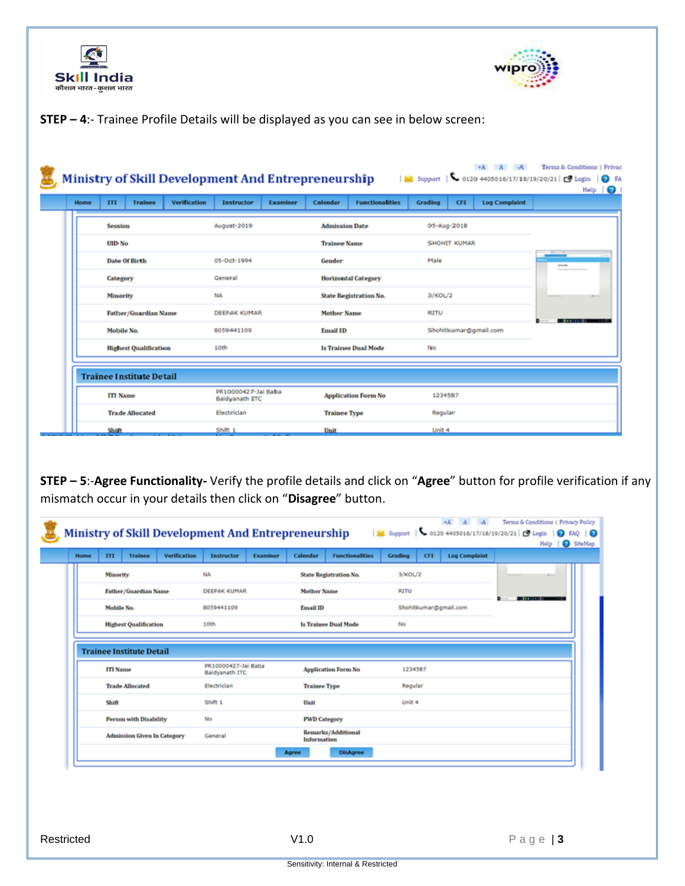



## **STEP – 4**:- Trainee Profile Details will be displayed as you can see in below screen:

| Home | <b>Trainee</b><br>III           | <b>Verification</b> | Instructor                                   | <b>Examiner</b> | Calendar              | <b>Functionalities</b>      | Gradiing | CFI          | <b>Log Complaint</b>  |                   |
|------|---------------------------------|---------------------|----------------------------------------------|-----------------|-----------------------|-----------------------------|----------|--------------|-----------------------|-------------------|
|      | Session                         |                     | August-2019                                  |                 | <b>Admission Date</b> |                             |          | 05-Aug-2018  |                       |                   |
|      | UID-No                          |                     |                                              |                 | <b>Trainee Name</b>   |                             |          | SHOHIT KUMAR |                       |                   |
|      | Date Of Birth                   |                     | 05-Oct-1994                                  |                 | Gender                |                             | Male     |              |                       | <b>Linker</b>     |
|      | Category                        |                     | General                                      |                 |                       | <b>Horizontal Category</b>  |          |              |                       |                   |
|      | <b>Minority</b>                 |                     | NA                                           |                 |                       | State Registration No.      | 31/KOL/2 |              |                       |                   |
|      | Father/Guardian Name            |                     | DEEPAK KUMAR                                 |                 | Mother Name           |                             | RITU     |              |                       | <b>CONTRACTOR</b> |
|      | Mobile No.                      |                     | 8059441109                                   |                 | <b>Email ID</b>       |                             |          |              | Shohitkumar@gmail.com |                   |
|      | <b>Highest Qualification</b>    |                     | 10th                                         |                 |                       | <b>Is Trainee Dual Mode</b> | No       |              |                       |                   |
|      | <b>Trainee Institute Detail</b> |                     |                                              |                 |                       |                             |          |              |                       |                   |
|      | <b>ITI Name</b>                 |                     | PR10000427-Jai Baba<br><b>Baidyanath ETC</b> |                 |                       | <b>Application Form No</b>  | 1234587  |              |                       |                   |
|      | <b>Trade Allocated</b>          |                     | Electrician                                  |                 | <b>Trainee Type</b>   |                             | Regular  |              |                       |                   |
|      | Shift                           |                     | Shift 1                                      |                 | <b>Unit</b>           |                             | Unit 4   |              |                       |                   |

**STEP – 5**:-**Agree Functionality-** Verify the profile details and click on "**Agree**" button for profile verification if any mismatch occur in your details then click on "**Disagree**" button.

| Home | III             | <b>Trainee</b>                  | <b>Verification</b> | <b>Instructor</b>                            | Examiner | Calendar            | <b>Functionalities</b>     | Grading | CFI | <b>Log Complaint</b>  |                      |
|------|-----------------|---------------------------------|---------------------|----------------------------------------------|----------|---------------------|----------------------------|---------|-----|-----------------------|----------------------|
|      | Minority        |                                 |                     | NA                                           |          |                     | State Registration No.     | 3/KOL/2 |     |                       |                      |
|      |                 | Father/Guardian Name            |                     | DEEPAK KUMAR                                 |          | <b>Mother Name</b>  |                            | RITU    |     |                       |                      |
|      | Mobile No.      |                                 |                     | 8059441109                                   |          | <b>Email ID</b>     |                            |         |     | Shohitkumar@gmail.com | <b>START SECTION</b> |
|      |                 | <b>Highest Qualification</b>    |                     | 10th                                         |          |                     | Is Trainee Dual Mode       | No      |     |                       |                      |
|      |                 | <b>Trainee Institute Detail</b> |                     |                                              |          |                     |                            |         |     |                       |                      |
|      |                 |                                 |                     |                                              |          |                     |                            |         |     |                       |                      |
|      | <b>ITI</b> Name |                                 |                     | PR10000427-Jai Baba<br><b>Baidvanath ITC</b> |          |                     | <b>Application Form No</b> | 1234587 |     |                       |                      |
|      |                 | <b>Trade Allocated</b>          |                     | Electrician                                  |          | <b>Trainee Type</b> |                            | Regular |     |                       |                      |
|      | Shift           |                                 |                     | Shift 1                                      |          | Unit                |                            | Unit 4  |     |                       |                      |
|      |                 | <b>Person with Disability</b>   |                     | No                                           |          | <b>PWD Category</b> |                            |         |     |                       |                      |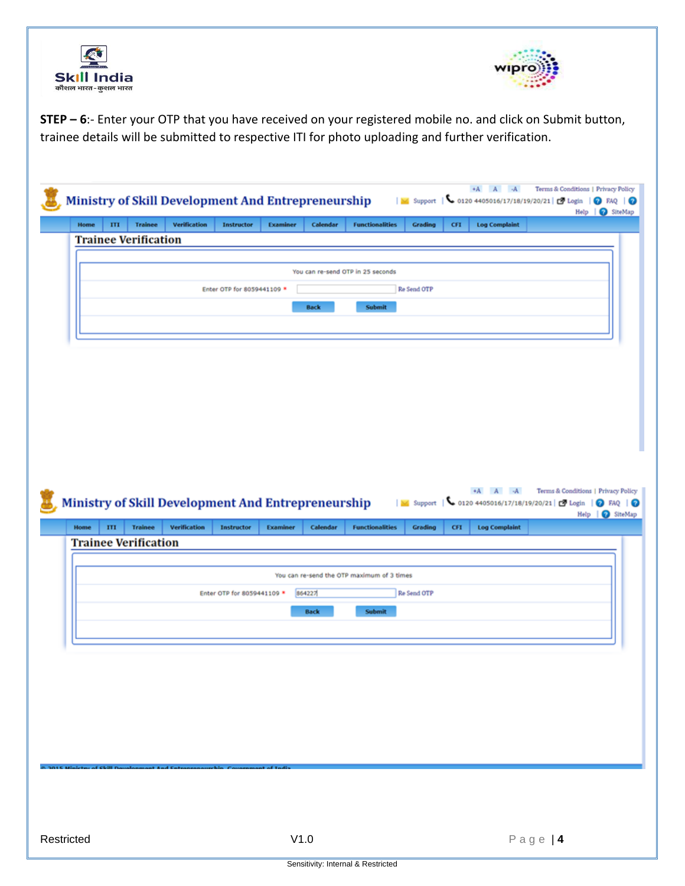



**STEP – 6**:- Enter your OTP that you have received on your registered mobile no. and click on Submit button, trainee details will be submitted to respective ITI for photo uploading and further verification.

| Ministry of Skill Development And Entrepreneurship                                       |                     |                            |                 |             |                                            |             |            |                                                                 | Help   @ SiteMap                    |
|------------------------------------------------------------------------------------------|---------------------|----------------------------|-----------------|-------------|--------------------------------------------|-------------|------------|-----------------------------------------------------------------|-------------------------------------|
| Home<br>ш<br><b>Trainee</b><br><b>Trainee Verification</b>                               | <b>Verification</b> | <b>Instructor</b>          | <b>Examiner</b> | Calendar    | <b>Functionalities</b>                     | Grading     | <b>CFI</b> | <b>Log Complaint</b>                                            |                                     |
|                                                                                          |                     |                            |                 |             |                                            |             |            |                                                                 |                                     |
|                                                                                          |                     |                            |                 |             | You can re-send OTP in 25 seconds          |             |            |                                                                 |                                     |
|                                                                                          |                     | Enter OTP for 8059441109 * |                 |             |                                            | Re Send OTP |            |                                                                 |                                     |
|                                                                                          |                     |                            |                 | <b>Back</b> | <b>Submit</b>                              |             |            |                                                                 |                                     |
|                                                                                          |                     |                            |                 |             |                                            |             |            |                                                                 |                                     |
|                                                                                          |                     |                            |                 |             |                                            |             |            |                                                                 |                                     |
|                                                                                          |                     |                            |                 |             |                                            |             |            |                                                                 |                                     |
|                                                                                          |                     |                            |                 |             |                                            |             |            |                                                                 |                                     |
|                                                                                          |                     |                            |                 |             |                                            |             |            |                                                                 |                                     |
|                                                                                          |                     |                            |                 |             |                                            |             |            |                                                                 |                                     |
|                                                                                          |                     |                            |                 |             |                                            |             |            |                                                                 |                                     |
|                                                                                          |                     |                            |                 |             |                                            |             |            |                                                                 |                                     |
|                                                                                          |                     |                            |                 |             |                                            |             |            |                                                                 |                                     |
|                                                                                          |                     |                            |                 |             |                                            |             |            | $+A$ $A$ $A$                                                    | Terms & Conditions   Privacy Policy |
|                                                                                          |                     |                            |                 |             |                                            |             |            | M Support   \ 0120 4405016/17/18/19/20/21   C Login   0 FAQ   0 |                                     |
| <b>Trainee</b><br>ITI                                                                    | Verification        | <b>Instructor</b>          | <b>Examiner</b> | Calendar    | <b>Functionalities</b>                     | Grading     | <b>CFI</b> | <b>Log Complaint</b>                                            | Help   8 SiteMap                    |
|                                                                                          |                     |                            |                 |             |                                            |             |            |                                                                 |                                     |
|                                                                                          |                     |                            |                 |             |                                            |             |            |                                                                 |                                     |
|                                                                                          |                     |                            |                 |             | You can re-send the OTP maximum of 3 times |             |            |                                                                 |                                     |
|                                                                                          |                     | Enter OTP for 8059441109 * |                 | 864227      |                                            | Re Send OTP |            |                                                                 |                                     |
| Home                                                                                     |                     |                            |                 | <b>Back</b> | <b>Submit</b>                              |             |            |                                                                 |                                     |
|                                                                                          |                     |                            |                 |             |                                            |             |            |                                                                 |                                     |
| <b>Ministry of Skill Development And Entrepreneurship</b><br><b>Trainee Verification</b> |                     |                            |                 |             |                                            |             |            |                                                                 |                                     |
|                                                                                          |                     |                            |                 |             |                                            |             |            |                                                                 |                                     |
|                                                                                          |                     |                            |                 |             |                                            |             |            |                                                                 |                                     |
|                                                                                          |                     |                            |                 |             |                                            |             |            |                                                                 |                                     |
|                                                                                          |                     |                            |                 |             |                                            |             |            |                                                                 |                                     |
|                                                                                          |                     |                            |                 |             |                                            |             |            |                                                                 |                                     |
|                                                                                          |                     |                            |                 |             |                                            |             |            |                                                                 |                                     |
|                                                                                          |                     |                            |                 |             |                                            |             |            |                                                                 |                                     |
|                                                                                          |                     |                            |                 |             |                                            |             |            |                                                                 |                                     |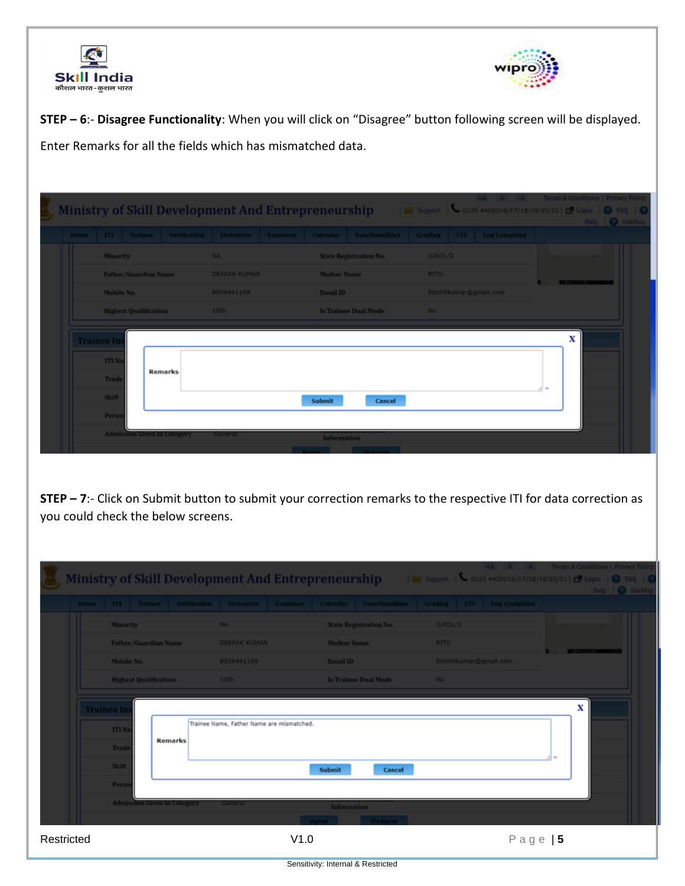



**STEP – 6**:- **Disagree Functionality**: When you will click on "Disagree" button following screen will be displayed. Enter Remarks for all the fields which has mismatched data.

|                   |                 |                                    |                | <b>Ministry of Skill Development And Entrepreneurship</b> |                    |                                                                                                      |             | +A A -A Terms & Conditions   Privacy Policy<br>No Support   6 0120 4405016/17/18/19/20/21   2 Login   0 FAQ   0 |                                  | Help   C SiteMap |
|-------------------|-----------------|------------------------------------|----------------|-----------------------------------------------------------|--------------------|------------------------------------------------------------------------------------------------------|-------------|-----------------------------------------------------------------------------------------------------------------|----------------------------------|------------------|
|                   |                 |                                    |                |                                                           |                    | Home ITI Trainee Verification Instructor Examiner Calendar Functionalities Grading CFI Log Complaint |             |                                                                                                                 |                                  |                  |
|                   | <b>Minority</b> |                                    |                | NA.                                                       |                    | <b>State Registration No.</b>                                                                        | 3/KOL/2     |                                                                                                                 |                                  |                  |
|                   |                 | Father/Guardian Name               |                | <b>DEEPAK KUMAR</b>                                       | Mother Name        |                                                                                                      | <b>RITU</b> |                                                                                                                 | <b>Brown Contracts Committee</b> |                  |
|                   | Mobile No.      |                                    |                | 8059441109                                                | Email ID           |                                                                                                      |             | Shohitkumar@gmail.com                                                                                           |                                  |                  |
|                   |                 | <b>Highest Qualification</b>       |                | 10th                                                      |                    | <b>Is Trainee Dual Mode</b>                                                                          | No.         |                                                                                                                 |                                  |                  |
| <b>Trainee In</b> |                 |                                    |                |                                                           |                    |                                                                                                      |             |                                                                                                                 | x                                |                  |
|                   | <b>ITIN</b>     |                                    |                |                                                           |                    |                                                                                                      |             |                                                                                                                 |                                  |                  |
|                   | Trade           |                                    | <b>Remarks</b> |                                                           |                    |                                                                                                      |             |                                                                                                                 |                                  |                  |
|                   | Shift           |                                    |                |                                                           | Submit             | Cancel                                                                                               |             |                                                                                                                 |                                  |                  |
|                   | Perso           |                                    |                |                                                           |                    |                                                                                                      |             |                                                                                                                 |                                  |                  |
|                   |                 | <b>Admission Given In Calegory</b> |                | <b>General</b>                                            | <b>Information</b> |                                                                                                      |             |                                                                                                                 |                                  |                  |
|                   |                 |                                    |                |                                                           |                    |                                                                                                      |             |                                                                                                                 |                                  |                  |

**STEP – 7**:- Click on Submit button to submit your correction remarks to the respective ITI for data correction as you could check the below screens.

|            |                   |                                    |         |                                                           |      |             |                                                                                                                                                                                                                                      |             |                       | *A A -A Terms & Conditions   Privacy Polic                     |
|------------|-------------------|------------------------------------|---------|-----------------------------------------------------------|------|-------------|--------------------------------------------------------------------------------------------------------------------------------------------------------------------------------------------------------------------------------------|-------------|-----------------------|----------------------------------------------------------------|
|            |                   |                                    |         | <b>Ministry of Skill Development And Entrepreneurship</b> |      |             |                                                                                                                                                                                                                                      |             |                       | No Support   0120 4405016/17/18/19/20/21   D Login   0 FAQ   0 |
|            |                   |                                    |         |                                                           |      |             |                                                                                                                                                                                                                                      |             |                       | Help   @ SiteMay                                               |
|            |                   |                                    |         |                                                           |      |             | Home ITI Trainee Verification Instructor Examiner Calendar Functionalities Grading CFI Log Complaint                                                                                                                                 |             |                       |                                                                |
|            | <b>Minority</b>   |                                    |         | NA.                                                       |      |             | <b>State Registration No.</b>                                                                                                                                                                                                        | 3/KOL/2     |                       |                                                                |
|            |                   | Father/Guardian Name               |         | <b>DEEPAK KUMAR</b>                                       |      | Mother Name |                                                                                                                                                                                                                                      | <b>RITU</b> |                       | <b>District Control Control</b>                                |
|            | Mobile No.        |                                    |         | 8059441109                                                |      | Email ID    |                                                                                                                                                                                                                                      |             | Shohitkumar@gmail.com |                                                                |
|            |                   | <b>Highest Qualification</b>       |         | 10th                                                      |      |             | <b>Is Trainee Dual Mode</b>                                                                                                                                                                                                          | - No        |                       |                                                                |
|            | <b>Trainee In</b> |                                    |         |                                                           |      |             |                                                                                                                                                                                                                                      |             |                       | x                                                              |
|            | <b>ITIN</b>       |                                    |         | Trainee Name, Father Name are mismatched.                 |      |             |                                                                                                                                                                                                                                      |             |                       |                                                                |
|            | Trad              |                                    | Remarks |                                                           |      |             |                                                                                                                                                                                                                                      |             |                       |                                                                |
|            | Shift             |                                    |         |                                                           |      | Submit      | Cancel                                                                                                                                                                                                                               |             |                       |                                                                |
|            | Perso             |                                    |         |                                                           |      |             |                                                                                                                                                                                                                                      |             |                       |                                                                |
|            |                   | <b>Admission Given In Category</b> |         | <b>GAT OUTAN</b>                                          |      | Information |                                                                                                                                                                                                                                      |             |                       |                                                                |
|            |                   |                                    |         |                                                           |      |             | <b>The Contract of Contract Contract Contract Contract Contract Contract Contract Contract Contract Contract Contract Contract Contract Contract Contract Contract Contract Contract Contract Contract Contract Contract Contrac</b> |             |                       |                                                                |
| Restricted |                   |                                    |         |                                                           | V1.0 |             |                                                                                                                                                                                                                                      |             | Page $ 5$             |                                                                |

Sensitivity: Internal & Restricted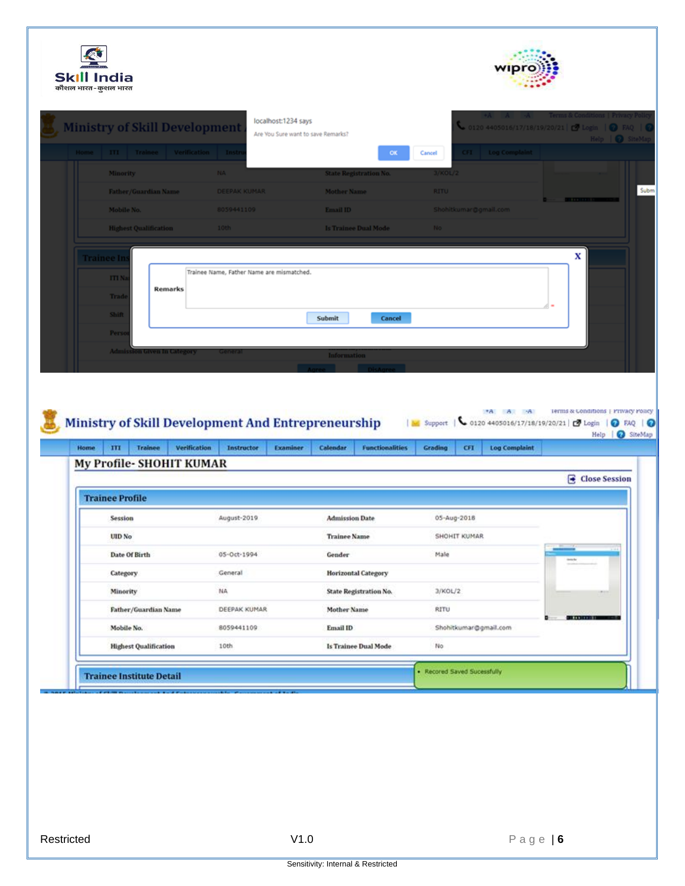| कौशल भारत-कुशल भारत                  |                                                    |                                    |                                                                                           |                                                         |
|--------------------------------------|----------------------------------------------------|------------------------------------|-------------------------------------------------------------------------------------------|---------------------------------------------------------|
| <b>Ministry of Skill Development</b> | localhost:1234 says                                |                                    | $\bullet$ 0120 4405016/17/18/19/20/21   $\bullet$ Login   $\bullet$ FAQ   $\bullet$       |                                                         |
|                                      |                                                    | Are You Sure want to save Remarks? |                                                                                           | Help   @ SiteMay                                        |
| Home ITI Trainee Verification Inst   |                                                    | OK                                 | <b>Log Complaint</b><br>Cancel                                                            |                                                         |
| <b>Minority</b>                      | <b>NA</b>                                          | <b>State Registration No.</b>      | 3/KOL/2                                                                                   |                                                         |
| <b>Father/Guardian Name</b>          | <b>DEEPAK KUMAR</b>                                | <b>Mother Name</b>                 | <b>RITU</b>                                                                               |                                                         |
| Mobile No.                           | 8059441109                                         | Email ID                           | Shohitkumar@gmail.com                                                                     |                                                         |
| <b>Highest Qualification</b>         | 10th                                               | <b>Is Trainee Dual Mode</b>        | <b>No</b>                                                                                 |                                                         |
|                                      |                                                    |                                    |                                                                                           | x                                                       |
| Frainee In                           | Trainee Name, Father Name are mismatched.          |                                    |                                                                                           |                                                         |
| <b>ITI N</b><br><b>Remarks</b>       |                                                    |                                    |                                                                                           |                                                         |
| Trad                                 |                                                    |                                    |                                                                                           |                                                         |
|                                      |                                                    | Submit<br>Cancel                   |                                                                                           |                                                         |
| <b>Shift</b>                         |                                                    |                                    |                                                                                           |                                                         |
| Pers                                 |                                                    |                                    |                                                                                           |                                                         |
| <b>Admission Given In Category</b>   |                                                    | Information                        |                                                                                           |                                                         |
|                                      | Ministry of Skill Development And Entrepreneurship |                                    | $AA$ $A$ $A$<br>↓ 0120 4405016/17/18/19/20/21   2 Login   ● FAQ   ●<br><b>New Support</b> | Terms & Conditions   Privacy Policy<br>Help   C SiteMap |
| <b>Trainee</b><br>Home<br>m          | Verification<br>Instructor<br>Examiner             | Calendar<br><b>Functionalities</b> | CFI<br><b>Log Complaint</b><br>Grading                                                    |                                                         |
| My Profile-SHOHIT KUMAR              |                                                    |                                    |                                                                                           |                                                         |
|                                      |                                                    |                                    |                                                                                           |                                                         |
| <b>Trainee Profile</b>               |                                                    |                                    |                                                                                           |                                                         |
| Session                              | August-2019                                        | <b>Admission Date</b>              | 05-Aug-2018                                                                               |                                                         |
| UID No                               |                                                    | <b>Trainee Name</b>                | SHOHIT KUMAR                                                                              | Close Session                                           |
| Date Of Birth                        | 05-Oct-1994                                        | Gender                             | Male                                                                                      |                                                         |
| Category                             | General                                            | <b>Horizontal Category</b>         |                                                                                           |                                                         |
| Minority                             | NA.                                                | State Registration No.             | 3/KOL/2                                                                                   |                                                         |
| Father/Guardian Name                 | DEEPAK KUMAR                                       | <b>Mother Name</b>                 | RITU                                                                                      | <b>BIBBIOIRE</b>                                        |
| Mobile No.                           | 8059441109                                         | Email ID                           | Shohitkumar@gmail.com                                                                     |                                                         |